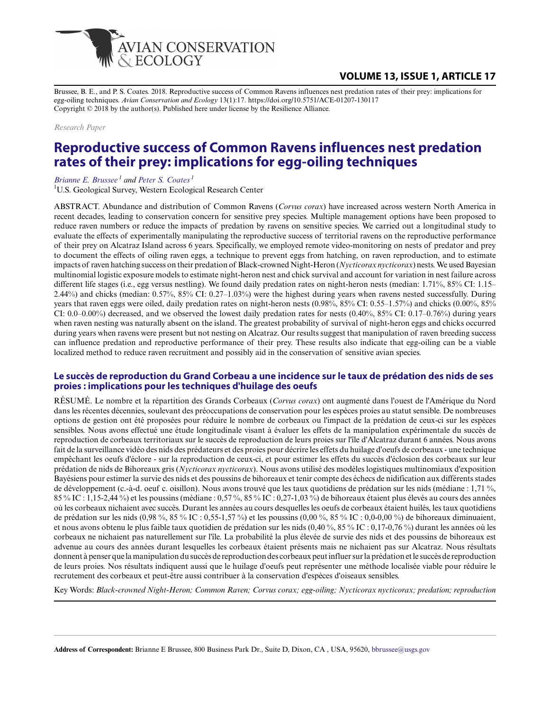

## **VOLUME 13, ISSUE 1, ARTICLE 17**

Brussee, B. E., and P. S. Coates. 2018. Reproductive success of Common Ravens influences nest predation rates of their prey: implications for egg-oiling techniques. *Avian Conservation and Ecology* 13(1):17. https://doi.org/10.5751/ACE-01207-130117 Copyright © 2018 by the author(s). Published here under license by the Resilience Alliance.

*Research Paper*

# **Reproductive success of Common Ravens influences nest predation rates of their prey: implications for egg-oiling techniques**

*[Brianne E. Brussee](mailto:bbrussee@usgs.gov)<sup>1</sup> and [Peter S. Coates](mailto:pcoates@usgs.gov)<sup>1</sup>*

<sup>1</sup>U.S. Geological Survey, Western Ecological Research Center

ABSTRACT. Abundance and distribution of Common Ravens (*Corvus corax*) have increased across western North America in recent decades, leading to conservation concern for sensitive prey species. Multiple management options have been proposed to reduce raven numbers or reduce the impacts of predation by ravens on sensitive species. We carried out a longitudinal study to evaluate the effects of experimentally manipulating the reproductive success of territorial ravens on the reproductive performance of their prey on Alcatraz Island across 6 years. Specifically, we employed remote video-monitoring on nests of predator and prey to document the effects of oiling raven eggs, a technique to prevent eggs from hatching, on raven reproduction, and to estimate impacts of raven hatching success on their predation of Black-crowned Night-Heron (*Nycticorax nycticorax*) nests. We used Bayesian multinomial logistic exposure models to estimate night-heron nest and chick survival and account for variation in nest failure across different life stages (i.e., egg versus nestling). We found daily predation rates on night-heron nests (median: 1.71%, 85% CI: 1.15– 2.44%) and chicks (median: 0.57%, 85% CI: 0.27–1.03%) were the highest during years when ravens nested successfully. During years that raven eggs were oiled, daily predation rates on night-heron nests (0.98%, 85% CI: 0.55–1.57%) and chicks (0.00%, 85% CI: 0.0–0.00%) decreased, and we observed the lowest daily predation rates for nests (0.40%, 85% CI: 0.17–0.76%) during years when raven nesting was naturally absent on the island. The greatest probability of survival of night-heron eggs and chicks occurred during years when ravens were present but not nesting on Alcatraz. Our results suggest that manipulation of raven breeding success can influence predation and reproductive performance of their prey. These results also indicate that egg-oiling can be a viable localized method to reduce raven recruitment and possibly aid in the conservation of sensitive avian species.

#### **Le succès de reproduction du Grand Corbeau a une incidence sur le taux de prédation des nids de ses proies : implications pour les techniques d'huilage des oeufs**

RÉSUMÉ. Le nombre et la répartition des Grands Corbeaux (*Corvus corax*) ont augmenté dans l'ouest de l'Amérique du Nord dans les récentes décennies, soulevant des préoccupations de conservation pour les espèces proies au statut sensible. De nombreuses options de gestion ont été proposées pour réduire le nombre de corbeaux ou l'impact de la prédation de ceux-ci sur les espèces sensibles. Nous avons effectué une étude longitudinale visant à évaluer les effets de la manipulation expérimentale du succès de reproduction de corbeaux territoriaux sur le succès de reproduction de leurs proies sur l'île d'Alcatraz durant 6 années. Nous avons fait de la surveillance vidéo des nids des prédateurs et des proies pour décrire les effets du huilage d'oeufs de corbeaux - une technique empêchant les oeufs d'éclore - sur la reproduction de ceux-ci, et pour estimer les effets du succès d'éclosion des corbeaux sur leur prédation de nids de Bihoreaux gris (*Nycticorax nycticorax*). Nous avons utilisé des modèles logistiques multinomiaux d'exposition Bayésiens pour estimer la survie des nids et des poussins de bihoreaux et tenir compte des échecs de nidification aux différents stades de développement (c.-à-d. oeuf c. oisillon). Nous avons trouvé que les taux quotidiens de prédation sur les nids (médiane : 1,71 %, 85 % IC : 1,15-2,44 %) et les poussins (médiane : 0,57 %, 85 % IC : 0,27-1,03 %) de bihoreaux étaient plus élevés au cours des années où les corbeaux nichaient avec succès. Durant les années au cours desquelles les oeufs de corbeaux étaient huilés, les taux quotidiens de prédation sur les nids (0,98 %, 85 % IC : 0,55-1,57 %) et les poussins (0,00 %, 85 % IC : 0,0-0,00 %) de bihoreaux diminuaient, et nous avons obtenu le plus faible taux quotidien de prédation sur les nids (0,40 %, 85 % IC : 0,17-0,76 %) durant les années où les corbeaux ne nichaient pas naturellement sur l'île. La probabilité la plus élevée de survie des nids et des poussins de bihoreaux est advenue au cours des années durant lesquelles les corbeaux étaient présents mais ne nichaient pas sur Alcatraz. Nous résultats donnent à penser que la manipulation du succès de reproduction des corbeaux peut influer sur la prédation et le succès de reproduction de leurs proies. Nos résultats indiquent aussi que le huilage d'oeufs peut représenter une méthode localisée viable pour réduire le recrutement des corbeaux et peut-être aussi contribuer à la conservation d'espèces d'oiseaux sensibles.

Key Words: *Black-crowned Night-Heron; Common Raven; Corvus corax; egg-oiling; Nycticorax nycticorax; predation; reproduction*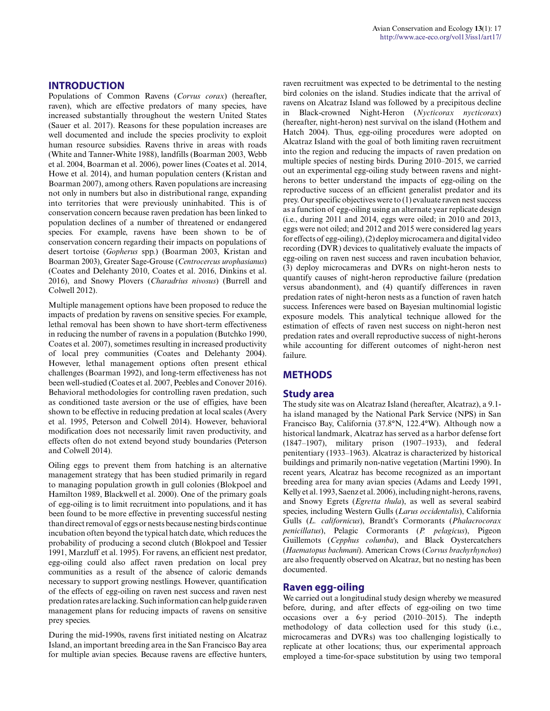#### **INTRODUCTION**

Populations of Common Ravens (*Corvus corax*) (hereafter, raven), which are effective predators of many species, have increased substantially throughout the western United States (Sauer et al. 2017). Reasons for these population increases are well documented and include the species proclivity to exploit human resource subsidies. Ravens thrive in areas with roads (White and Tanner-White 1988), landfills (Boarman 2003, Webb et al. 2004, Boarman et al. 2006), power lines (Coates et al. 2014, Howe et al. 2014), and human population centers (Kristan and Boarman 2007), among others. Raven populations are increasing not only in numbers but also in distributional range, expanding into territories that were previously uninhabited. This is of conservation concern because raven predation has been linked to population declines of a number of threatened or endangered species. For example, ravens have been shown to be of conservation concern regarding their impacts on populations of desert tortoise (*Gopherus* spp.) (Boarman 2003, Kristan and Boarman 2003), Greater Sage-Grouse (*Centrocercus urophasianus*) (Coates and Delehanty 2010, Coates et al. 2016, Dinkins et al. 2016), and Snowy Plovers (*Charadrius nivosus*) (Burrell and Colwell 2012).

Multiple management options have been proposed to reduce the impacts of predation by ravens on sensitive species. For example, lethal removal has been shown to have short-term effectiveness in reducing the number of ravens in a population (Butchko 1990, Coates et al. 2007), sometimes resulting in increased productivity of local prey communities (Coates and Delehanty 2004). However, lethal management options often present ethical challenges (Boarman 1992), and long-term effectiveness has not been well-studied (Coates et al. 2007, Peebles and Conover 2016). Behavioral methodologies for controlling raven predation, such as conditioned taste aversion or the use of effigies, have been shown to be effective in reducing predation at local scales (Avery et al. 1995, Peterson and Colwell 2014). However, behavioral modification does not necessarily limit raven productivity, and effects often do not extend beyond study boundaries (Peterson and Colwell 2014).

Oiling eggs to prevent them from hatching is an alternative management strategy that has been studied primarily in regard to managing population growth in gull colonies (Blokpoel and Hamilton 1989, Blackwell et al. 2000). One of the primary goals of egg-oiling is to limit recruitment into populations, and it has been found to be more effective in preventing successful nesting than direct removal of eggs or nests because nesting birds continue incubation often beyond the typical hatch date, which reduces the probability of producing a second clutch (Blokpoel and Tessier 1991, Marzluff et al. 1995). For ravens, an efficient nest predator, egg-oiling could also affect raven predation on local prey communities as a result of the absence of caloric demands necessary to support growing nestlings. However, quantification of the effects of egg-oiling on raven nest success and raven nest predation rates are lacking. Such information can help guide raven management plans for reducing impacts of ravens on sensitive prey species.

During the mid-1990s, ravens first initiated nesting on Alcatraz Island, an important breeding area in the San Francisco Bay area for multiple avian species. Because ravens are effective hunters, raven recruitment was expected to be detrimental to the nesting bird colonies on the island. Studies indicate that the arrival of ravens on Alcatraz Island was followed by a precipitous decline in Black-crowned Night-Heron (*Nycticorax nycticorax*) (hereafter, night-heron) nest survival on the island (Hothem and Hatch 2004). Thus, egg-oiling procedures were adopted on Alcatraz Island with the goal of both limiting raven recruitment into the region and reducing the impacts of raven predation on multiple species of nesting birds. During 2010–2015, we carried out an experimental egg-oiling study between ravens and nightherons to better understand the impacts of egg-oiling on the reproductive success of an efficient generalist predator and its prey. Our specific objectives were to (1) evaluate raven nest success as a function of egg-oiling using an alternate year replicate design (i.e., during 2011 and 2014, eggs were oiled; in 2010 and 2013, eggs were not oiled; and 2012 and 2015 were considered lag years for effects of egg-oiling), (2) deploy microcamera and digital video recording (DVR) devices to qualitatively evaluate the impacts of egg-oiling on raven nest success and raven incubation behavior, (3) deploy microcameras and DVRs on night-heron nests to quantify causes of night-heron reproductive failure (predation versus abandonment), and (4) quantify differences in raven predation rates of night-heron nests as a function of raven hatch success. Inferences were based on Bayesian multinomial logistic exposure models. This analytical technique allowed for the estimation of effects of raven nest success on night-heron nest predation rates and overall reproductive success of night-herons while accounting for different outcomes of night-heron nest failure.

#### **METHODS**

#### **Study area**

The study site was on Alcatraz Island (hereafter, Alcatraz), a 9.1 ha island managed by the National Park Service (NPS) in San Francisco Bay, California (37.8°N, 122.4°W). Although now a historical landmark, Alcatraz has served as a harbor defense fort (1847–1907), military prison (1907–1933), and federal penitentiary (1933–1963). Alcatraz is characterized by historical buildings and primarily non-native vegetation (Martini 1990). In recent years, Alcatraz has become recognized as an important breeding area for many avian species (Adams and Leedy 1991, Kelly et al. 1993, Saenz et al. 2006), including night-herons, ravens, and Snowy Egrets (*Egretta thula*), as well as several seabird species, including Western Gulls (*Larus occidentalis*), California Gulls (*L. californicus*), Brandt's Cormorants (*Phalacrocorax penicillatus*), Pelagic Cormorants (*P. pelagicus*), Pigeon Guillemots (*Cepphus columba*), and Black Oystercatchers (*Haematopus bachmani*). American Crows (*Corvus brachyrhynchos*) are also frequently observed on Alcatraz, but no nesting has been documented.

#### **Raven egg-oiling**

We carried out a longitudinal study design whereby we measured before, during, and after effects of egg-oiling on two time occasions over a 6-y period (2010–2015). The indepth methodology of data collection used for this study (i.e., microcameras and DVRs) was too challenging logistically to replicate at other locations; thus, our experimental approach employed a time-for-space substitution by using two temporal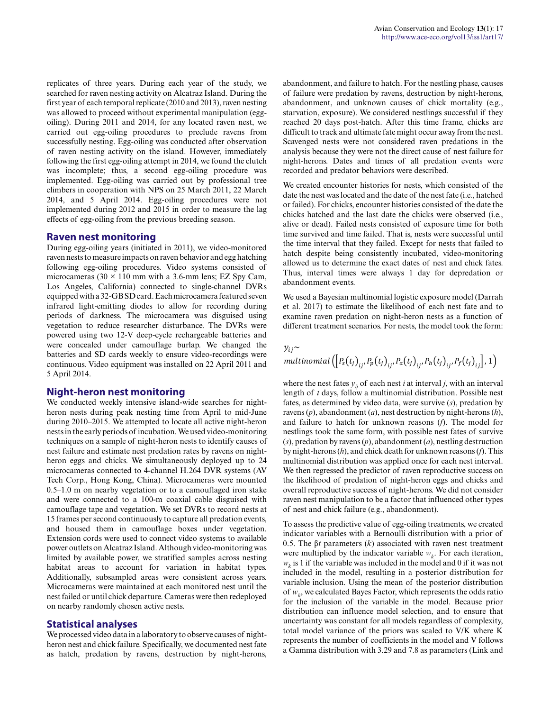replicates of three years. During each year of the study, we searched for raven nesting activity on Alcatraz Island. During the first year of each temporal replicate (2010 and 2013), raven nesting was allowed to proceed without experimental manipulation (eggoiling). During 2011 and 2014, for any located raven nest, we carried out egg-oiling procedures to preclude ravens from successfully nesting. Egg-oiling was conducted after observation of raven nesting activity on the island. However, immediately following the first egg-oiling attempt in 2014, we found the clutch was incomplete; thus, a second egg-oiling procedure was implemented. Egg-oiling was carried out by professional tree climbers in cooperation with NPS on 25 March 2011, 22 March 2014, and 5 April 2014. Egg-oiling procedures were not implemented during 2012 and 2015 in order to measure the lag effects of egg-oiling from the previous breeding season.

#### **Raven nest monitoring**

During egg-oiling years (initiated in 2011), we video-monitored raven nests to measure impacts on raven behavior and egg hatching following egg-oiling procedures. Video systems consisted of microcameras ( $30 \times 110$  mm with a 3.6-mm lens; EZ Spy Cam, Los Angeles, California) connected to single-channel DVRs equipped with a 32-GB SD card. Each microcamera featured seven infrared light-emitting diodes to allow for recording during periods of darkness. The microcamera was disguised using vegetation to reduce researcher disturbance. The DVRs were powered using two 12-V deep-cycle rechargeable batteries and were concealed under camouflage burlap. We changed the batteries and SD cards weekly to ensure video-recordings were continuous. Video equipment was installed on 22 April 2011 and 5 April 2014.

#### **Night-heron nest monitoring**

We conducted weekly intensive island-wide searches for nightheron nests during peak nesting time from April to mid-June during 2010–2015. We attempted to locate all active night-heron nests in the early periods of incubation. We used video-monitoring techniques on a sample of night-heron nests to identify causes of nest failure and estimate nest predation rates by ravens on nightheron eggs and chicks. We simultaneously deployed up to 24 microcameras connected to 4-channel H.264 DVR systems (AV Tech Corp., Hong Kong, China). Microcameras were mounted 0.5–1.0 m on nearby vegetation or to a camouflaged iron stake and were connected to a 100-m coaxial cable disguised with camouflage tape and vegetation. We set DVRs to record nests at 15 frames per second continuously to capture all predation events, and housed them in camouflage boxes under vegetation. Extension cords were used to connect video systems to available power outlets on Alcatraz Island. Although video-monitoring was limited by available power, we stratified samples across nesting habitat areas to account for variation in habitat types. Additionally, subsampled areas were consistent across years. Microcameras were maintained at each monitored nest until the nest failed or until chick departure. Cameras were then redeployed on nearby randomly chosen active nests.

#### **Statistical analyses**

We processed video data in a laboratory to observe causes of nightheron nest and chick failure. Specifically, we documented nest fate as hatch, predation by ravens, destruction by night-herons, abandonment, and failure to hatch. For the nestling phase, causes of failure were predation by ravens, destruction by night-herons, abandonment, and unknown causes of chick mortality (e.g., starvation, exposure). We considered nestlings successful if they reached 20 days post-hatch. After this time frame, chicks are difficult to track and ultimate fate might occur away from the nest. Scavenged nests were not considered raven predations in the analysis because they were not the direct cause of nest failure for night-herons. Dates and times of all predation events were recorded and predator behaviors were described.

We created encounter histories for nests, which consisted of the date the nest was located and the date of the nest fate (i.e., hatched or failed). For chicks, encounter histories consisted of the date the chicks hatched and the last date the chicks were observed (i.e., alive or dead). Failed nests consisted of exposure time for both time survived and time failed. That is, nests were successful until the time interval that they failed. Except for nests that failed to hatch despite being consistently incubated, video-monitoring allowed us to determine the exact dates of nest and chick fates. Thus, interval times were always 1 day for depredation or abandonment events.

We used a Bayesian multinomial logistic exposure model (Darrah et al. 2017) to estimate the likelihood of each nest fate and to examine raven predation on night-heron nests as a function of different treatment scenarios. For nests, the model took the form:

 $y_{ij}$ ~

$$
multinomial([P_s(t_{j})_{ij}, P_p(t_{j})_{ij}, P_a(t_{j})_{ij}, P_h(t_{j})_{ij}, P_f(t_{j})_{ij}], 1)
$$

where the nest fates  $y_i$  of each nest *i* at interval *j*, with an interval length of *t* days, follow a multinomial distribution. Possible nest fates, as determined by video data, were survive (*s*), predation by ravens (*p*), abandonment (*a*), nest destruction by night-herons (*h*), and failure to hatch for unknown reasons (*f*). The model for nestlings took the same form, with possible nest fates of survive (*s*), predation by ravens (*p*), abandonment (*a*), nestling destruction by night-herons (*h*), and chick death for unknown reasons (*f*). This multinomial distribution was applied once for each nest interval. We then regressed the predictor of raven reproductive success on the likelihood of predation of night-heron eggs and chicks and overall reproductive success of night-herons. We did not consider raven nest manipulation to be a factor that influenced other types of nest and chick failure (e.g., abandonment).

To assess the predictive value of egg-oiling treatments, we created indicator variables with a Bernoulli distribution with a prior of 0.5. The β*t* parameters (*k*) associated with raven nest treatment were multiplied by the indicator variable  $w_k$ . For each iteration,  $w_k$  is 1 if the variable was included in the model and 0 if it was not included in the model, resulting in a posterior distribution for variable inclusion. Using the mean of the posterior distribution of  $w_k$ , we calculated Bayes Factor, which represents the odds ratio for the inclusion of the variable in the model. Because prior distribution can influence model selection, and to ensure that uncertainty was constant for all models regardless of complexity, total model variance of the priors was scaled to V/K where K represents the number of coefficients in the model and V follows a Gamma distribution with 3.29 and 7.8 as parameters (Link and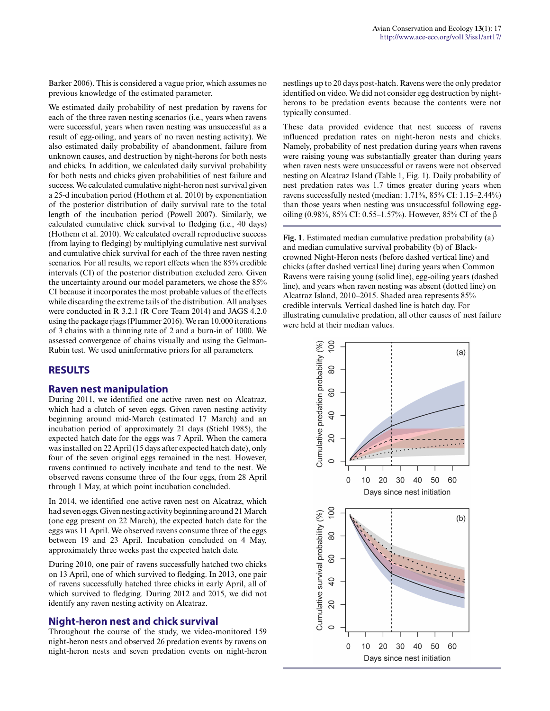Barker 2006). This is considered a vague prior, which assumes no previous knowledge of the estimated parameter.

We estimated daily probability of nest predation by ravens for each of the three raven nesting scenarios (i.e., years when ravens were successful, years when raven nesting was unsuccessful as a result of egg-oiling, and years of no raven nesting activity). We also estimated daily probability of abandonment, failure from unknown causes, and destruction by night-herons for both nests and chicks. In addition, we calculated daily survival probability for both nests and chicks given probabilities of nest failure and success. We calculated cumulative night-heron nest survival given a 25-d incubation period (Hothem et al. 2010) by exponentiation of the posterior distribution of daily survival rate to the total length of the incubation period (Powell 2007). Similarly, we calculated cumulative chick survival to fledging (i.e., 40 days) (Hothem et al. 2010). We calculated overall reproductive success (from laying to fledging) by multiplying cumulative nest survival and cumulative chick survival for each of the three raven nesting scenarios. For all results, we report effects when the 85% credible intervals (CI) of the posterior distribution excluded zero. Given the uncertainty around our model parameters, we chose the 85% CI because it incorporates the most probable values of the effects while discarding the extreme tails of the distribution. All analyses were conducted in R 3.2.1 (R Core Team 2014) and JAGS 4.2.0 using the package rjags (Plummer 2016). We ran 10,000 iterations of 3 chains with a thinning rate of 2 and a burn-in of 1000. We assessed convergence of chains visually and using the Gelman-Rubin test. We used uninformative priors for all parameters.

### **RESULTS**

#### **Raven nest manipulation**

During 2011, we identified one active raven nest on Alcatraz, which had a clutch of seven eggs. Given raven nesting activity beginning around mid-March (estimated 17 March) and an incubation period of approximately 21 days (Stiehl 1985), the expected hatch date for the eggs was 7 April. When the camera was installed on 22 April (15 days after expected hatch date), only four of the seven original eggs remained in the nest. However, ravens continued to actively incubate and tend to the nest. We observed ravens consume three of the four eggs, from 28 April through 1 May, at which point incubation concluded.

In 2014, we identified one active raven nest on Alcatraz, which had seven eggs. Given nesting activity beginning around 21 March (one egg present on 22 March), the expected hatch date for the eggs was 11 April. We observed ravens consume three of the eggs between 19 and 23 April. Incubation concluded on 4 May, approximately three weeks past the expected hatch date.

During 2010, one pair of ravens successfully hatched two chicks on 13 April, one of which survived to fledging. In 2013, one pair of ravens successfully hatched three chicks in early April, all of which survived to fledging. During 2012 and 2015, we did not identify any raven nesting activity on Alcatraz.

#### **Night-heron nest and chick survival**

Throughout the course of the study, we video-monitored 159 night-heron nests and observed 26 predation events by ravens on night-heron nests and seven predation events on night-heron nestlings up to 20 days post-hatch. Ravens were the only predator identified on video. We did not consider egg destruction by nightherons to be predation events because the contents were not typically consumed.

These data provided evidence that nest success of ravens influenced predation rates on night-heron nests and chicks. Namely, probability of nest predation during years when ravens were raising young was substantially greater than during years when raven nests were unsuccessful or ravens were not observed nesting on Alcatraz Island (Table 1, Fig. 1). Daily probability of nest predation rates was 1.7 times greater during years when ravens successfully nested (median: 1.71%, 85% CI: 1.15–2.44%) than those years when nesting was unsuccessful following eggoiling (0.98%, 85% CI: 0.55–1.57%). However, 85% CI of the β

**Fig. 1**. Estimated median cumulative predation probability (a) and median cumulative survival probability (b) of Blackcrowned Night-Heron nests (before dashed vertical line) and chicks (after dashed vertical line) during years when Common Ravens were raising young (solid line), egg-oiling years (dashed line), and years when raven nesting was absent (dotted line) on Alcatraz Island, 2010–2015. Shaded area represents 85% credible intervals. Vertical dashed line is hatch day. For illustrating cumulative predation, all other causes of nest failure were held at their median values.

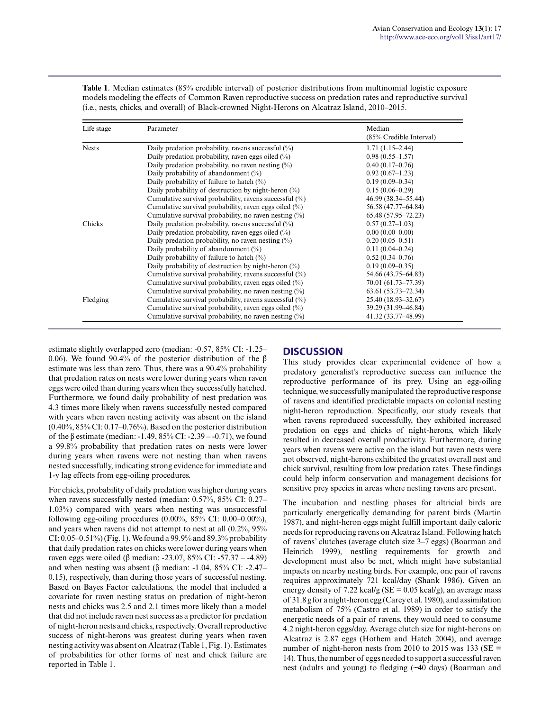| Life stage   | Parameter                                                 | Median                  |
|--------------|-----------------------------------------------------------|-------------------------|
|              |                                                           | (85% Credible Interval) |
| <b>Nests</b> | Daily predation probability, ravens successful $(\%)$     | $1.71(1.15-2.44)$       |
|              | Daily predation probability, raven eggs oiled $(\%)$      | $0.98(0.55 - 1.57)$     |
|              | Daily predation probability, no raven nesting $(\%)$      | $0.40(0.17-0.76)$       |
|              | Daily probability of abandonment $(\%)$                   | $0.92(0.67-1.23)$       |
|              | Daily probability of failure to hatch $(\%)$              | $0.19(0.09 - 0.34)$     |
|              | Daily probability of destruction by night-heron $(\%)$    | $0.15(0.06 - 0.29)$     |
|              | Cumulative survival probability, ravens successful (%)    | 46.99 (38.34–55.44)     |
|              | Cumulative survival probability, raven eggs oiled $(\%)$  | 56.58 (47.77-64.84)     |
|              | Cumulative survival probability, no raven nesting $(\%)$  | 65.48 (57.95-72.23)     |
| Chicks       | Daily predation probability, ravens successful $(\%)$     | $0.57(0.27-1.03)$       |
|              | Daily predation probability, raven eggs oiled $(\%)$      | $0.00(0.00-0.00)$       |
|              | Daily predation probability, no raven nesting $(\%)$      | $0.20(0.05-0.51)$       |
|              | Daily probability of abandonment (%)                      | $0.11(0.04 - 0.24)$     |
|              | Daily probability of failure to hatch $(\%)$              | $0.52(0.34 - 0.76)$     |
|              | Daily probability of destruction by night-heron $(\%)$    | $0.19(0.09 - 0.35)$     |
|              | Cumulative survival probability, ravens successful $(\%)$ | 54.66 (43.75–64.83)     |
|              | Cumulative survival probability, raven eggs oiled $(\%)$  | 70.01 (61.73-77.39)     |
|              | Cumulative survival probability, no raven nesting $(\%)$  | $63.61(53.73 - 72.34)$  |
| Fledging     | Cumulative survival probability, ravens successful $(\%)$ | 25.40 (18.93-32.67)     |
|              | Cumulative survival probability, raven eggs oiled $(\%)$  | 39.29 (31.99-46.84)     |
|              | Cumulative survival probability, no raven nesting $(\%)$  | 41.32 (33.77-48.99)     |

**Table 1**. Median estimates (85% credible interval) of posterior distributions from multinomial logistic exposure models modeling the effects of Common Raven reproductive success on predation rates and reproductive survival (i.e., nests, chicks, and overall) of Black-crowned Night-Herons on Alcatraz Island, 2010–2015.

estimate slightly overlapped zero (median: -0.57, 85% CI: -1.25– 0.06). We found 90.4% of the posterior distribution of the β estimate was less than zero. Thus, there was a 90.4% probability that predation rates on nests were lower during years when raven eggs were oiled than during years when they successfully hatched. Furthermore, we found daily probability of nest predation was 4.3 times more likely when ravens successfully nested compared with years when raven nesting activity was absent on the island  $(0.40\%, 85\% \text{ CI}$ :  $0.17-0.76\%)$ . Based on the posterior distribution of the β estimate (median: -1.49, 85% CI: -2.39 – -0.71), we found a 99.8% probability that predation rates on nests were lower during years when ravens were not nesting than when ravens nested successfully, indicating strong evidence for immediate and 1-y lag effects from egg-oiling procedures.

For chicks, probability of daily predation was higher during years when ravens successfully nested (median: 0.57%, 85% CI: 0.27– 1.03%) compared with years when nesting was unsuccessful following egg-oiling procedures (0.00%, 85% CI: 0.00–0.00%), and years when ravens did not attempt to nest at all (0.2%, 95% CI: 0.05–0.51%) (Fig. 1). We found a 99.9% and 89.3% probability that daily predation rates on chicks were lower during years when raven eggs were oiled (β median: -23.07, 85% CI: -57.37 – -4.89) and when nesting was absent (β median: -1.04, 85% CI: -2.47– 0.15), respectively, than during those years of successful nesting. Based on Bayes Factor calculations, the model that included a covariate for raven nesting status on predation of night-heron nests and chicks was 2.5 and 2.1 times more likely than a model that did not include raven nest success as a predictor for predation of night-heron nests and chicks, respectively. Overall reproductive success of night-herons was greatest during years when raven nesting activity was absent on Alcatraz (Table 1, Fig. 1). Estimates of probabilities for other forms of nest and chick failure are reported in Table 1.

## **DISCUSSION**

This study provides clear experimental evidence of how a predatory generalist's reproductive success can influence the reproductive performance of its prey. Using an egg-oiling technique, we successfully manipulated the reproductive response of ravens and identified predictable impacts on colonial nesting night-heron reproduction. Specifically, our study reveals that when ravens reproduced successfully, they exhibited increased predation on eggs and chicks of night-herons, which likely resulted in decreased overall productivity. Furthermore, during years when ravens were active on the island but raven nests were not observed, night-herons exhibited the greatest overall nest and chick survival, resulting from low predation rates. These findings could help inform conservation and management decisions for sensitive prey species in areas where nesting ravens are present.

The incubation and nestling phases for altricial birds are particularly energetically demanding for parent birds (Martin 1987), and night-heron eggs might fulfill important daily caloric needs for reproducing ravens on Alcatraz Island. Following hatch of ravens' clutches (average clutch size 3–7 eggs) (Boarman and Heinrich 1999), nestling requirements for growth and development must also be met, which might have substantial impacts on nearby nesting birds. For example, one pair of ravens requires approximately 721 kcal/day (Shank 1986). Given an energy density of 7.22 kcal/g ( $SE = 0.05$  kcal/g), an average mass of 31.8 g for a night-heron egg (Carey et al. 1980), and assimilation metabolism of 75% (Castro et al. 1989) in order to satisfy the energetic needs of a pair of ravens, they would need to consume 4.2 night-heron eggs/day. Average clutch size for night-herons on Alcatraz is 2.87 eggs (Hothem and Hatch 2004), and average number of night-heron nests from 2010 to 2015 was 133 ( $SE =$ 14). Thus, the number of eggs needed to support a successful raven nest (adults and young) to fledging (~40 days) (Boarman and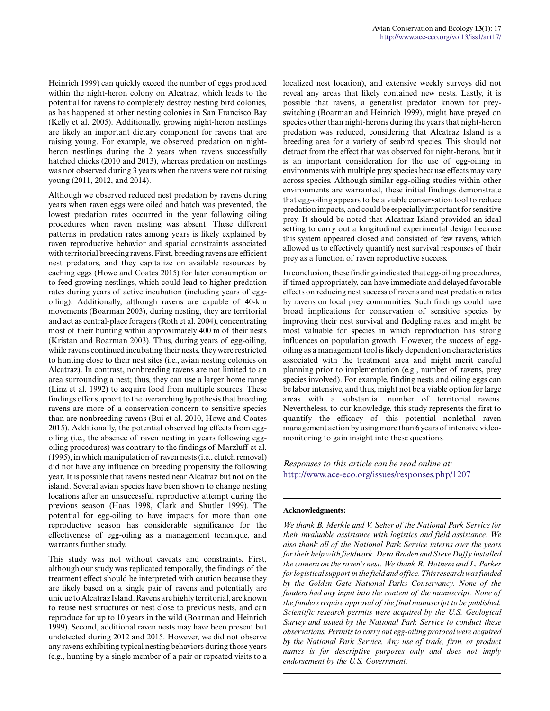Heinrich 1999) can quickly exceed the number of eggs produced within the night-heron colony on Alcatraz, which leads to the potential for ravens to completely destroy nesting bird colonies, as has happened at other nesting colonies in San Francisco Bay (Kelly et al. 2005). Additionally, growing night-heron nestlings are likely an important dietary component for ravens that are raising young. For example, we observed predation on nightheron nestlings during the 2 years when ravens successfully hatched chicks (2010 and 2013), whereas predation on nestlings was not observed during 3 years when the ravens were not raising young (2011, 2012, and 2014).

Although we observed reduced nest predation by ravens during years when raven eggs were oiled and hatch was prevented, the lowest predation rates occurred in the year following oiling procedures when raven nesting was absent. These different patterns in predation rates among years is likely explained by raven reproductive behavior and spatial constraints associated with territorial breeding ravens. First, breeding ravens are efficient nest predators, and they capitalize on available resources by caching eggs (Howe and Coates 2015) for later consumption or to feed growing nestlings, which could lead to higher predation rates during years of active incubation (including years of eggoiling). Additionally, although ravens are capable of 40-km movements (Boarman 2003), during nesting, they are territorial and act as central-place foragers (Roth et al. 2004), concentrating most of their hunting within approximately 400 m of their nests (Kristan and Boarman 2003). Thus, during years of egg-oiling, while ravens continued incubating their nests, they were restricted to hunting close to their nest sites (i.e., avian nesting colonies on Alcatraz). In contrast, nonbreeding ravens are not limited to an area surrounding a nest; thus, they can use a larger home range (Linz et al. 1992) to acquire food from multiple sources. These findings offer support to the overarching hypothesis that breeding ravens are more of a conservation concern to sensitive species than are nonbreeding ravens (Bui et al. 2010, Howe and Coates 2015). Additionally, the potential observed lag effects from eggoiling (i.e., the absence of raven nesting in years following eggoiling procedures) was contrary to the findings of Marzluff et al. (1995), in which manipulation of raven nests (i.e., clutch removal) did not have any influence on breeding propensity the following year. It is possible that ravens nested near Alcatraz but not on the island. Several avian species have been shown to change nesting locations after an unsuccessful reproductive attempt during the previous season (Haas 1998, Clark and Shutler 1999). The potential for egg-oiling to have impacts for more than one reproductive season has considerable significance for the effectiveness of egg-oiling as a management technique, and warrants further study.

This study was not without caveats and constraints. First, although our study was replicated temporally, the findings of the treatment effect should be interpreted with caution because they are likely based on a single pair of ravens and potentially are unique to Alcatraz Island. Ravens are highly territorial, are known to reuse nest structures or nest close to previous nests, and can reproduce for up to 10 years in the wild (Boarman and Heinrich 1999). Second, additional raven nests may have been present but undetected during 2012 and 2015. However, we did not observe any ravens exhibiting typical nesting behaviors during those years (e.g., hunting by a single member of a pair or repeated visits to a localized nest location), and extensive weekly surveys did not reveal any areas that likely contained new nests. Lastly, it is possible that ravens, a generalist predator known for preyswitching (Boarman and Heinrich 1999), might have preyed on species other than night-herons during the years that night-heron predation was reduced, considering that Alcatraz Island is a breeding area for a variety of seabird species. This should not detract from the effect that was observed for night-herons, but it is an important consideration for the use of egg-oiling in environments with multiple prey species because effects may vary across species. Although similar egg-oiling studies within other environments are warranted, these initial findings demonstrate that egg-oiling appears to be a viable conservation tool to reduce predation impacts, and could be especially important for sensitive prey. It should be noted that Alcatraz Island provided an ideal setting to carry out a longitudinal experimental design because this system appeared closed and consisted of few ravens, which allowed us to effectively quantify nest survival responses of their prey as a function of raven reproductive success.

In conclusion, these findings indicated that egg-oiling procedures, if timed appropriately, can have immediate and delayed favorable effects on reducing nest success of ravens and nest predation rates by ravens on local prey communities. Such findings could have broad implications for conservation of sensitive species by improving their nest survival and fledgling rates, and might be most valuable for species in which reproduction has strong influences on population growth. However, the success of eggoiling as a management tool is likely dependent on characteristics associated with the treatment area and might merit careful planning prior to implementation (e.g., number of ravens, prey species involved). For example, finding nests and oiling eggs can be labor intensive, and thus, might not be a viable option for large areas with a substantial number of territorial ravens. Nevertheless, to our knowledge, this study represents the first to quantify the efficacy of this potential nonlethal raven management action by using more than 6 years of intensive videomonitoring to gain insight into these questions.

*Responses to this article can be read online at:* <http://www.ace-eco.org/issues/responses.php/1207>

#### **Acknowledgments:**

*We thank B. Merkle and V. Seher of the National Park Service for their invaluable assistance with logistics and field assistance. We also thank all of the National Park Service interns over the years for their help with fieldwork. Deva Braden and Steve Duffy installed the camera on the raven's nest. We thank R. Hothem and L. Parker for logistical support in the field and office. This research was funded by the Golden Gate National Parks Conservancy. None of the funders had any input into the content of the manuscript. None of the funders require approval of the final manuscript to be published. Scientific research permits were acquired by the U.S. Geological Survey and issued by the National Park Service to conduct these observations. Permits to carry out egg-oiling protocol were acquired by the National Park Service. Any use of trade, firm, or product names is for descriptive purposes only and does not imply endorsement by the U.S. Government.*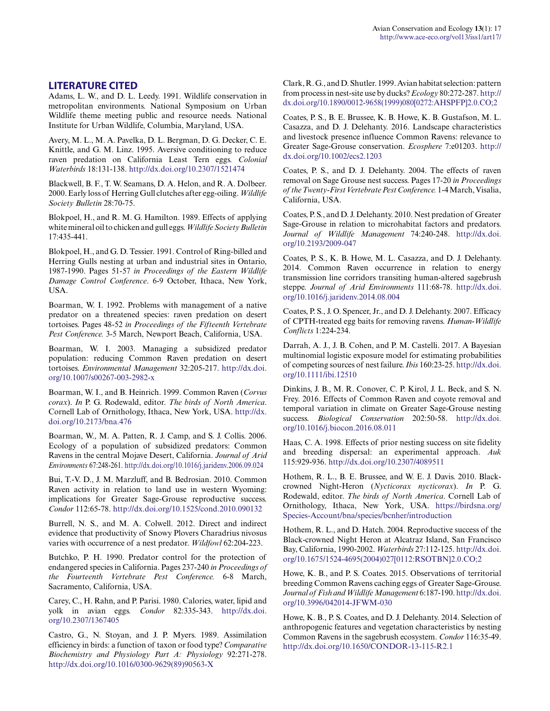#### **LITERATURE CITED**

Adams, L. W., and D. L. Leedy. 1991. Wildlife conservation in metropolitan environments. National Symposium on Urban Wildlife theme meeting public and resource needs. National Institute for Urban Wildlife, Columbia, Maryland, USA.

Avery, M. L., M. A. Pavelka, D. L. Bergman, D. G. Decker, C. E. Knittle, and G. M. Linz. 1995. Aversive conditioning to reduce raven predation on California Least Tern eggs. *Colonial Waterbirds* 18:131-138. [http://dx.doi.org/10.2307/1521474](http://dx.doi.org/10.2307%2F1521474)

Blackwell, B. F., T. W. Seamans, D. A. Helon, and R. A. Dolbeer. 2000. Early loss of Herring Gull clutches after egg-oiling. *Wildlife Society Bulletin* 28:70-75.

Blokpoel, H., and R. M. G. Hamilton. 1989. Effects of applying white mineral oil to chicken and gull eggs. *Wildlife Society Bulletin* 17:435-441.

Blokpoel, H., and G. D. Tessier. 1991. Control of Ring-billed and Herring Gulls nesting at urban and industrial sites in Ontario, 1987-1990. Pages 51-57 *in Proceedings of the Eastern Wildlife Damage Control Conference*. 6-9 October, Ithaca, New York, USA.

Boarman, W. I. 1992. Problems with management of a native predator on a threatened species: raven predation on desert tortoises. Pages 48-52 *in Proceedings of the Fifteenth Vertebrate Pest Conference.* 3-5 March, Newport Beach, California, USA.

Boarman, W. I. 2003. Managing a subsidized predator population: reducing Common Raven predation on desert tortoises. *Environmental Management* 32:205-217. [http://dx.doi.](http://dx.doi.org/10.1007%2Fs00267-003-2982-x) [org/10.1007/s00267-003-2982-x](http://dx.doi.org/10.1007%2Fs00267-003-2982-x)

Boarman, W. I., and B. Heinrich. 1999. Common Raven (*Corvus corax*). *In* P. G. Rodewald, editor. *The birds of North America*. Cornell Lab of Ornithology, Ithaca, New York, USA. [http://dx.](http://dx.doi.org/10.2173%2Fbna.476) [doi.org/10.2173/bna.476](http://dx.doi.org/10.2173%2Fbna.476)

Boarman, W., M. A. Patten, R. J. Camp, and S. J. Collis. 2006. Ecology of a population of subsidized predators: Common Ravens in the central Mojave Desert, California. *Journal of Arid Environments* 67:248-261. [http://dx.doi.org/10.1016/j.jaridenv.2006.09.024](http://dx.doi.org/10.1016%2Fj.jaridenv.2006.09.024)

Bui, T.-V. D., J. M. Marzluff, and B. Bedrosian. 2010. Common Raven activity in relation to land use in western Wyoming: implications for Greater Sage-Grouse reproductive success. *Condor* 112:65-78. [http://dx.doi.org/10.1525/cond.2010.090132](http://dx.doi.org/10.1525%2Fcond.2010.090132) 

Burrell, N. S., and M. A. Colwell. 2012. Direct and indirect evidence that productivity of Snowy Plovers Charadrius nivosus varies with occurrence of a nest predator. *Wildfowl* 62:204-223.

Butchko, P. H. 1990. Predator control for the protection of endangered species in California. Pages 237-240 *in Proceedings of the Fourteenth Vertebrate Pest Conference.* 6-8 March, Sacramento, California, USA.

Carey, C., H. Rahn, and P. Parisi. 1980. Calories, water, lipid and yolk in avian eggs. *Condor* 82:335-343. [http://dx.doi.](http://dx.doi.org/10.2307%2F1367405) [org/10.2307/1367405](http://dx.doi.org/10.2307%2F1367405) 

Castro, G., N. Stoyan, and J. P. Myers. 1989. Assimilation efficiency in birds: a function of taxon or food type? *Comparative Biochemistry and Physiology Part A: Physiology* 92:271-278. [http://dx.doi.org/10.1016/0300-9629\(89\)90563-X](http://dx.doi.org/10.1016%2F0300-9629%2889%2990563-X) 

Clark, R. G., and D. Shutler. 1999. Avian habitat selection: pattern from process in nest-site use by ducks? *Ecology* 80:272-287. [http://](http://dx.doi.org/10.1890%2F0012-9658%281999%29080%5B0272%3AAHSPFP%5D2.0.CO%3B2) [dx.doi.org/10.1890/0012-9658\(1999\)080\[0272:AHSPFP\]2.0.CO;2](http://dx.doi.org/10.1890%2F0012-9658%281999%29080%5B0272%3AAHSPFP%5D2.0.CO%3B2) 

Coates, P. S., B. E. Brussee, K. B. Howe, K. B. Gustafson, M. L. Casazza, and D. J. Delehanty. 2016. Landscape characteristics and livestock presence influence Common Ravens: relevance to Greater Sage-Grouse conservation. *Ecosphere* 7:e01203. [http://](http://dx.doi.org/10.1002%2Fecs2.1203) [dx.doi.org/10.1002/ecs2.1203](http://dx.doi.org/10.1002%2Fecs2.1203)

Coates, P. S., and D. J. Delehanty. 2004. The effects of raven removal on Sage Grouse nest success. Pages 17-20 *in Proceedings of the Twenty-First Vertebrate Pest Conference.* 1-4 March, Visalia, California, USA.

Coates, P. S., and D. J. Delehanty. 2010. Nest predation of Greater Sage-Grouse in relation to microhabitat factors and predators. *Journal of Wildlife Management* 74:240-248. [http://dx.doi.](http://dx.doi.org/10.2193%2F2009-047) [org/10.2193/2009-047](http://dx.doi.org/10.2193%2F2009-047) 

Coates, P. S., K. B. Howe, M. L. Casazza, and D. J. Delehanty. 2014. Common Raven occurrence in relation to energy transmission line corridors transiting human-altered sagebrush steppe. *Journal of Arid Environments* 111:68-78. [http://dx.doi.](http://dx.doi.org/10.1016%2Fj.jaridenv.2014.08.004) [org/10.1016/j.jaridenv.2014.08.004](http://dx.doi.org/10.1016%2Fj.jaridenv.2014.08.004) 

Coates, P. S., J. O. Spencer, Jr., and D. J. Delehanty. 2007. Efficacy of CPTH-treated egg baits for removing ravens. *Human-Wildlife Conflicts* 1:224-234.

Darrah, A. J., J. B. Cohen, and P. M. Castelli. 2017. A Bayesian multinomial logistic exposure model for estimating probabilities of competing sources of nest failure. *Ibis* 160:23-25. [http://dx.doi.](http://dx.doi.org/10.1111%2Fibi.12510) [org/10.1111/ibi.12510](http://dx.doi.org/10.1111%2Fibi.12510) 

Dinkins, J. B., M. R. Conover, C. P. Kirol, J. L. Beck, and S. N. Frey. 2016. Effects of Common Raven and coyote removal and temporal variation in climate on Greater Sage-Grouse nesting success. *Biological Conservation* 202:50-58. [http://dx.doi.](http://dx.doi.org/10.1016%2Fj.biocon.2016.08.011) [org/10.1016/j.biocon.2016.08.011](http://dx.doi.org/10.1016%2Fj.biocon.2016.08.011)

Haas, C. A. 1998. Effects of prior nesting success on site fidelity and breeding dispersal: an experimental approach. *Auk* 115:929-936. [http://dx.doi.org/10.2307/4089511](http://dx.doi.org/10.2307%2F4089511)

Hothem, R. L., B. E. Brussee, and W. E. J. Davis. 2010. Blackcrowned Night-Heron (*Nycticorax nycticorax*). *In* P. G. Rodewald, editor. *The birds of North America*. Cornell Lab of Ornithology, Ithaca, New York, USA. [https://birdsna.org/](https://birdsna.org/Species-Account/bna/species/bcnher/introduction) [Species-Account/bna/species/bcnher/introduction](https://birdsna.org/Species-Account/bna/species/bcnher/introduction)

Hothem, R. L., and D. Hatch. 2004. Reproductive success of the Black-crowned Night Heron at Alcatraz Island, San Francisco Bay, California, 1990-2002. *Waterbirds* 27:112-125. [http://dx.doi.](http://dx.doi.org/10.1675%2F1524-4695%282004%29027%5B0112%3ARSOTBN%5D2.0.CO%3B2) [org/10.1675/1524-4695\(2004\)027\[0112:RSOTBN\]2.0.CO;2](http://dx.doi.org/10.1675%2F1524-4695%282004%29027%5B0112%3ARSOTBN%5D2.0.CO%3B2)

Howe, K. B., and P. S. Coates. 2015. Observations of territorial breeding Common Ravens caching eggs of Greater Sage-Grouse. *Journal of Fish and Wildlife Management* 6:187-190. [http://dx.doi.](http://dx.doi.org/10.3996%2F042014-JFWM-030) [org/10.3996/042014-JFWM-030](http://dx.doi.org/10.3996%2F042014-JFWM-030)

Howe, K. B., P. S. Coates, and D. J. Delehanty. 2014. Selection of anthropogenic features and vegetation characteristics by nesting Common Ravens in the sagebrush ecosystem. *Condor* 116:35-49. [http://dx.doi.org/10.1650/CONDOR-13-115-R2.1](http://dx.doi.org/10.1650%2FCONDOR-13-115-R2.1)